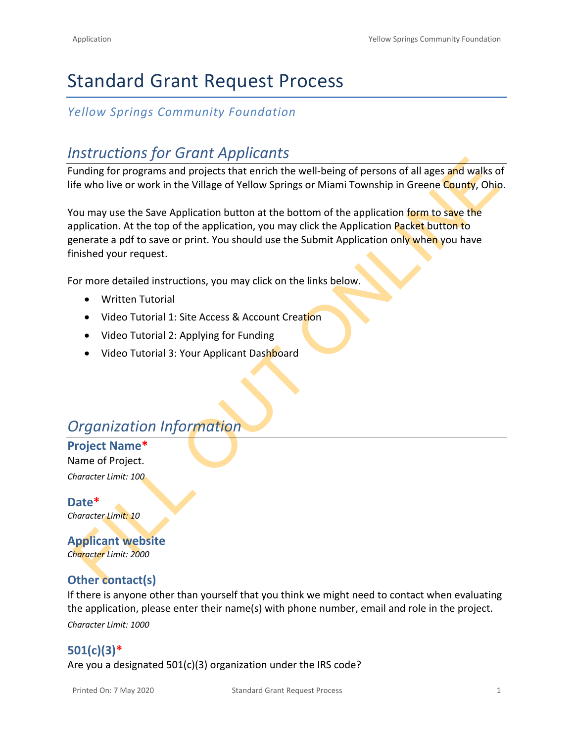# Standard Grant Request Process

## *Yellow Springs Community Foundation*

## *Instructions for Grant Applicants*

Funding for programs and projects that enrich the well-being of persons of all ages and walks of life who live or work in the Village of Yellow Springs or Miami Township in Greene County, Ohio.

FILA[T](https://drive.google.com/file/d/155ta4kdwfWbiSnftjux_PGJHfMkse5Bz/view?usp=sharing)I[O](https://drive.google.com/file/d/1O2-rkkxy9iQ1WLx2LKaBYr9LgFoXfaqt/view?usp=sharing)N TO CONTROVER THE CONTROVER CONTROVERS IN A CONTROVER CONTROVERS IN A PROPORTION OF THE CONTROVERS OF THE CONTROVERS OF THE CONTROVERS OF THE CONTROVERS OF THE CONTROVERS OF THE CONTROVERS OF THE CONTROVERS OF THE You may use the Save Application button at the bottom of the application form to save the application. At the top of the application, you may click the Application Packet button to generate a pdf to save or print. You should use the Submit Application only when you have finished your request.

For more detailed instructions, you may click on the links below.

- Written Tutorial
- Video Tutorial 1: Site Access & Account Creation
- Video Tutorial 2: Applying for Funding
- Video Tutorial 3: Your Applicant Dashboard

# *Organization Information*

**Project Name\*** Name of Project.

*Character Limit: 100*

**Date\*** *Character Limit: 10*

**Applicant website** *Character Limit: 2000*

## **Other contact(s)**

If there is anyone other than yourself that you think we might need to contact when evaluating the application, please enter their name(s) with phone number, email and role in the project. *Character Limit: 1000*

## **501(c)(3)\***

Are you a designated 501(c)(3) organization under the IRS code?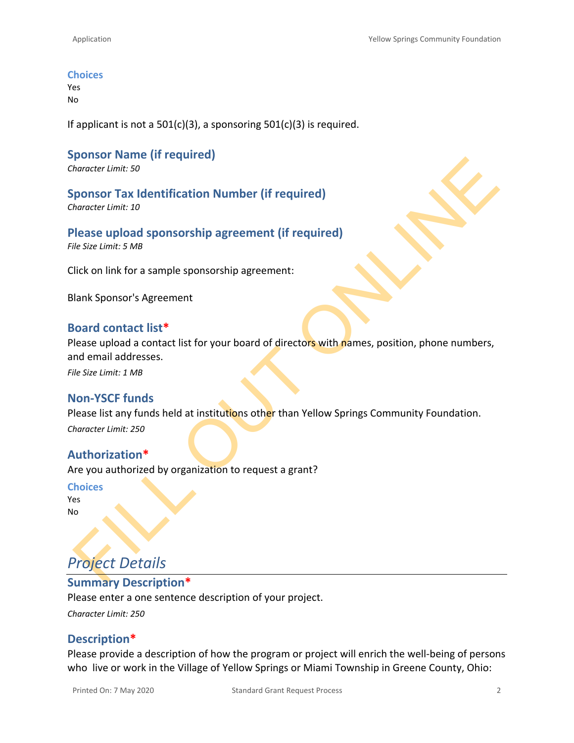#### **Choices**

Yes No

If applicant is not a  $501(c)(3)$ , a sponsoring  $501(c)(3)$  is required.

## **Sponsor Name (if required)**

*Character Limit: 50*

**Sponsor Tax Identification Number (if required)** *Character Limit: 10*

**Please upload sponsorship agreement (if required)** *File Size Limit: 5 MB*

Click on link for a sample sponsorship agreement:

Blank Sponsor's Agreement

#### **Board contact list\***

ponsor Tax Identification Number (if required)<br>
ponsor Tax Identification Number (if required)<br>
Hencer Limit: 30<br>
lie Size Limit: 5 MB<br>
lie Size Limit: 5 MB<br>
lie Size Limit: 5 MB<br>
lies are upload sponsorship agreement:<br>
li Please upload a contact list for your board of directors with names, position, phone numbers, and email addresses.

*File Size Limit: 1 MB*

#### **Non-YSCF funds**

Please list any funds held at institutions other than Yellow Springs Community Foundation. *Character Limit: 250*

#### **Authorization\***

Are you authorized by organization to request a grant?

**Choices**

Yes No

# *Project Details*

#### **Summary Description\***

Please enter a one sentence description of your project.

*Character Limit: 250*

#### **Description\***

Please provide a description of how the program or project will enrich the well-being of persons who live or work in the Village of Yellow Springs or Miami Township in Greene County, Ohio: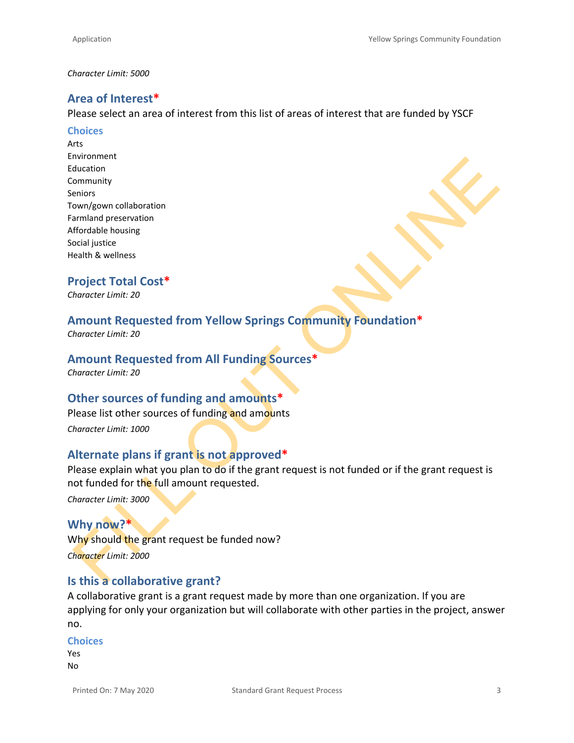#### *Character Limit: 5000*

#### **Area of Interest\***

Please select an area of interest from this list of areas of interest that are funded by YSCF

#### **Choices**

Arts Environment Education Community Seniors Town/gown collaboration Farmland preservation Affordable housing Social justice Health & wellness

#### **Project Total Cost\***

*Character Limit: 20*

## **Amount Requested from Yellow Springs Community Foundation\***

*Character Limit: 20*

#### **Amount Requested from All Funding Sources\***

*Character Limit: 20*

#### **Other sources of funding and amounts\***

Please list other sources of funding and amounts

*Character Limit: 1000*

#### **Alternate plans if grant is not approved\***

Information<br>
compleximation<br>
compleximation<br>
compleximation<br>
and discussion<br>
and principal transition<br>
conditions<br>
and principal transition<br>
Amonder Umit: 20<br>
Amonder Umit: 20<br>
Amonder Umit: 20<br>
Amonder Umit: 20<br>
How also Please explain what you plan to do if the grant request is not funded or if the grant request is not funded for the full amount requested.

*Character Limit: 3000*

## **Why now?\*** Why should the grant request be funded now? *Character Limit: 2000*

#### **Is this a collaborative grant?**

A collaborative grant is a grant request made by more than one organization. If you are applying for only your organization but will collaborate with other parties in the project, answer no.

#### **Choices**

Yes No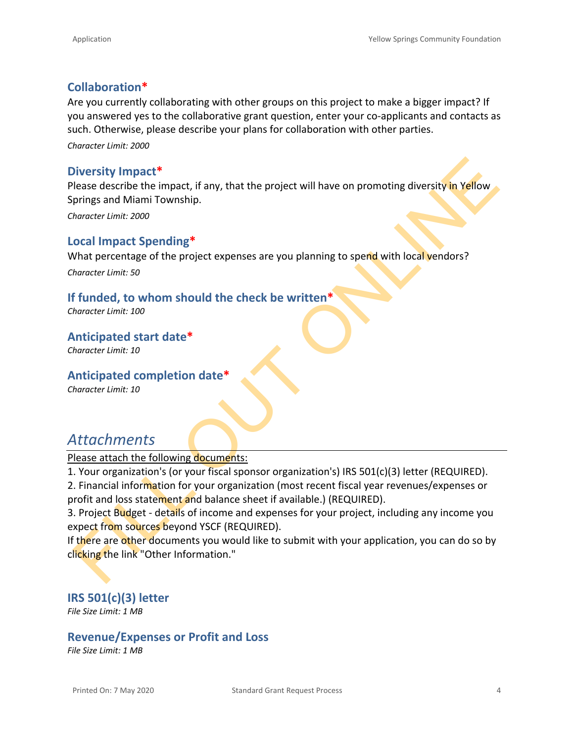### **Collaboration\***

Are you currently collaborating with other groups on this project to make a bigger impact? If you answered yes to the collaborative grant question, enter your co-applicants and contacts as such. Otherwise, please describe your plans for collaboration with other parties.

*Character Limit: 2000*

#### **Diversity Impact\***

Please describe the impact, if any, that the project will have on promoting diversity in Yellow Springs and Miami Township.

*Character Limit: 2000*

#### **Local Impact Spending\***

What percentage of the project expenses are you planning to spend with local vendors?

*Character Limit: 50*

### **If funded, to whom should the check be written\***

*Character Limit: 100*

**Anticipated start date\***

*Character Limit: 10*

#### **Anticipated completion date\***

*Character Limit: 10*

## *Attachments*

Please attach the following documents:

1. Your organization's (or your fiscal sponsor organization's) IRS 501(c)(3) letter (REQUIRED).

2. Financial information for your organization (most recent fiscal year revenues/expenses or profit and loss statement and balance sheet if available.) (REQUIRED).

Diversity Impact\*<br>
lease describe the impact, if any, that the project will have on promoting diversity in Yellow<br>
prings and Miami Township.<br>
prings and Miami Township.<br>
Princeter Umit: 2000<br>
Cocal Impact Spending\*<br>
What 3. Project Budget - details of income and expenses for your project, including any income you expect from sources beyond YSCF (REQUIRED).

If there are other documents you would like to submit with your application, you can do so by clicking the link "Other Information."

**IRS 501(c)(3) letter** *File Size Limit: 1 MB*

## **Revenue/Expenses or Profit and Loss**

*File Size Limit: 1 MB*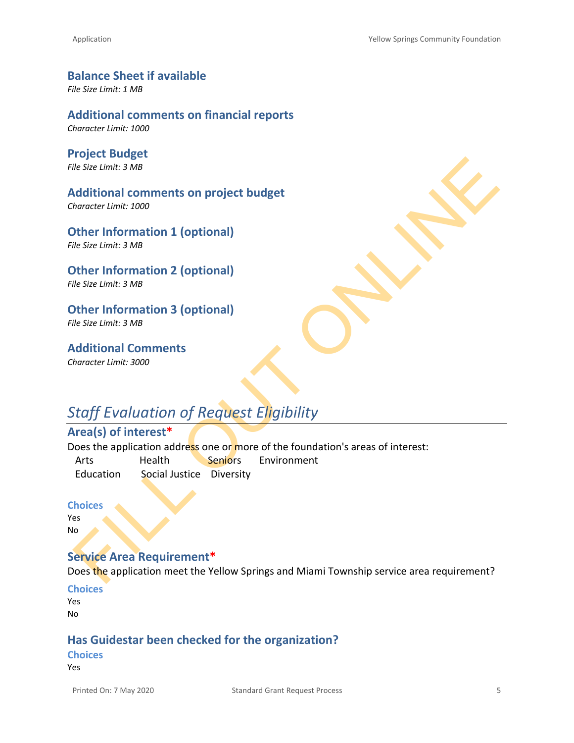**Balance Sheet if available** *File Size Limit: 1 MB*

**Additional comments on financial reports** *Character Limit: 1000*

**Project Budget** *File Size Limit: 3 MB*

FIGNER CONSIDERED TO THE STAR (SEE ISSUE TO THE STAR (SEE ISSUE ISSUE ISSUE ISSUE ISSUE ISSUE ISSUE ISSUE ISSUE ISSUE ISSUE ISSUE ISSUE ISSUE ISSUE ISSUE ISSUE ISSUE ISSUE ISSUE ISSUE ISSUE ISSUE ISSUE ISSUE ISSUE ISSUE IS **Additional comments on project budget** *Character Limit: 1000*

**Other Information 1 (optional)** *File Size Limit: 3 MB*

**Other Information 2 (optional)** *File Size Limit: 3 MB*

**Other Information 3 (optional)** *File Size Limit: 3 MB*

**Additional Comments** *Character Limit: 3000*

## *Staff Evaluation of Request Eligibility*

## **Area(s) of interest\***

Does the application address one or more of the foundation's areas of interest:

Arts Health Seniors Environment Education Social Justice Diversity

**Choices**

Yes No

#### **Service Area Requirement\***

Does the application meet the Yellow Springs and Miami Township service area requirement?

**Choices**

Yes No

#### **Has Guidestar been checked for the organization?**

#### **Choices**

Yes